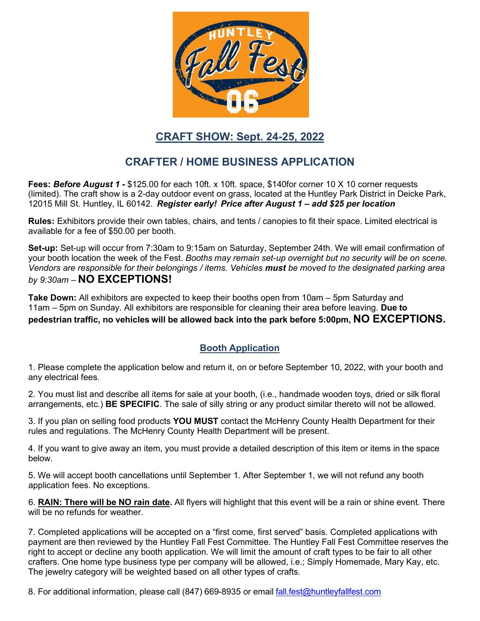

## **CRAFT SHOW: Sept. 24-25, 2022**

# **CRAFTER / HOME BUSINESS APPLICATION**

**Fees:** *Before August 1* **-** \$125.00 for each 10ft. x 10ft. space, \$140for corner 10 X 10 corner requests (limited). The craft show is a 2-day outdoor event on grass, located at the Huntley Park District in Deicke Park, 12015 Mill St. Huntley, IL 60142. *Register early! Price after August 1 – add \$25 per location*

**Rules:** Exhibitors provide their own tables, chairs, and tents / canopies to fit their space. Limited electrical is available for a fee of \$50.00 per booth.

**Set-up:** Set-up will occur from 7:30am to 9:15am on Saturday, September 24th. We will email confirmation of your booth location the week of the Fest. *Booths may remain set-up overnight but no security will be on scene. Vendors are responsible for their belongings / items. Vehicles must be moved to the designated parking area by 9:30am –* **NO EXCEPTIONS!**

**Take Down:** All exhibitors are expected to keep their booths open from 10am – 5pm Saturday and 11am – 5pm on Sunday. All exhibitors are responsible for cleaning their area before leaving. **Due to pedestrian traffic, no vehicles will be allowed back into the park before 5:00pm, NO EXCEPTIONS.**

## **Booth Application**

1. Please complete the application below and return it, on or before September 10, 2022, with your booth and any electrical fees.

2. You must list and describe all items for sale at your booth, (i.e., handmade wooden toys, dried or silk floral arrangements, etc.) **BE SPECIFIC**. The sale of silly string or any product similar thereto will not be allowed.

3. If you plan on selling food products **YOU MUST** contact the McHenry County Health Department for their rules and regulations. The McHenry County Health Department will be present.

4. If you want to give away an item, you must provide a detailed description of this item or items in the space below.

5. We will accept booth cancellations until September 1. After September 1, we will not refund any booth application fees. No exceptions.

6. **RAIN: There will be NO rain date.** All flyers will highlight that this event will be a rain or shine event. There will be no refunds for weather.

7. Completed applications will be accepted on a "first come, first served" basis. Completed applications with payment are then reviewed by the Huntley Fall Fest Committee. The Huntley Fall Fest Committee reserves the right to accept or decline any booth application. We will limit the amount of craft types to be fair to all other crafters. One home type business type per company will be allowed, i.e.; Simply Homemade, Mary Kay, etc. The jewelry category will be weighted based on all other types of crafts.

8. For additional information, please call (847) 669-8935 or email [fall.fest@huntleyfallfest.com](mailto:fall.fest@huntleyfallfest.com)